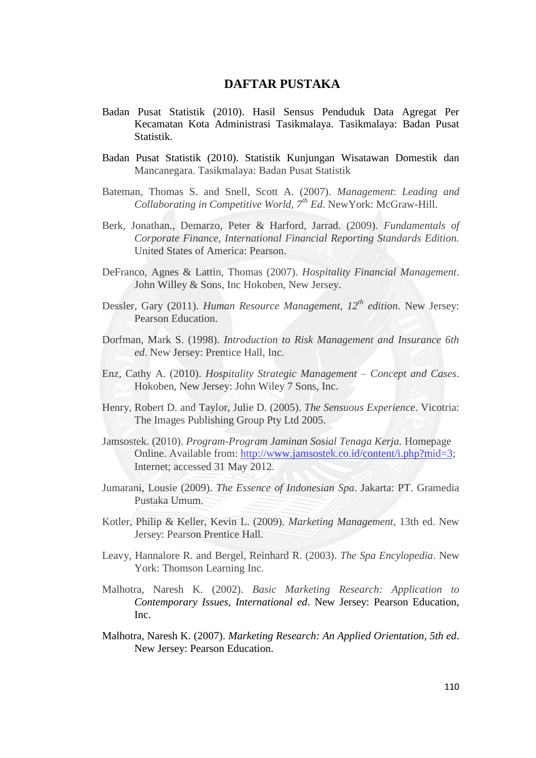## **DAFTAR PUSTAKA**

- Badan Pusat Statistik (2010). Hasil Sensus Penduduk Data Agregat Per Kecamatan Kota Administrasi Tasikmalaya. Tasikmalaya: Badan Pusat Statistik.
- Badan Pusat Statistik (2010). Statistik Kunjungan Wisatawan Domestik dan Mancanegara. Tasikmalaya: Badan Pusat Statistik
- Bateman, Thomas S. and Snell, Scott A. (2007). *Management*: *Leading and Collaborating in Competitive World, 7th Ed*. NewYork: McGraw-Hill.
- Berk, Jonathan., Demarzo, Peter & Harford, Jarrad. (2009). *Fundamentals of Corporate Finance, International Financial Reporting Standards Edition.*  United States of America: Pearson.
- DeFranco, Agnes & Lattin, Thomas (2007). *Hospitality Financial Management*. John Willey & Sons, Inc Hokoben, New Jersey.
- Dessler, Gary (2011). *Human Resource Management, 12th edition*. New Jersey: Pearson Education.
- Dorfman, Mark S. (1998). *Introduction to Risk Management and Insurance 6th ed*. New Jersey: Prentice Hall, Inc.
- Enz, Cathy A. (2010). *Hospitality Strategic Management – Concept and Cases*. Hokoben, New Jersey: John Wiley 7 Sons, Inc.
- Henry, Robert D. and Taylor, Julie D. (2005). *The Sensuous Experience*. Vicotria: The Images Publishing Group Pty Ltd 2005.
- Jamsostek. (2010). *Program-Program Jaminan Sosial Tenaga Kerja.* Homepage Online. Available from: [http://www.jamsostek.co.id/content/i.php?mid=3;](http://www.jamsostek.co.id/content/i.php?mid=3) Internet; accessed 31 May 2012.
- Jumarani, Lousie (2009). *The Essence of Indonesian Spa*. Jakarta: PT. Gramedia Pustaka Umum.
- Kotler, Philip & Keller, Kevin L. (2009). *Marketing Management*, 13th ed. New Jersey: Pearson Prentice Hall.
- Leavy, Hannalore R. and Bergel, Reinhard R. (2003). *The Spa Encylopedia*. New York: Thomson Learning Inc.
- Malhotra, Naresh K. (2002). *Basic Marketing Research: Application to Contemporary Issues, International ed*. New Jersey: Pearson Education, Inc.
- Malhotra, Naresh K. (2007). *Marketing Research: An Applied Orientation, 5th ed*. New Jersey: Pearson Education.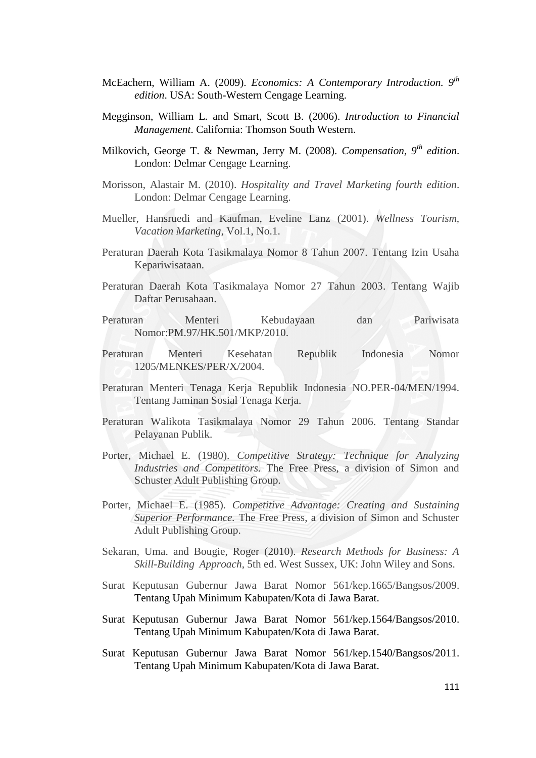- McEachern, William A. (2009). *Economics: A Contemporary Introduction. 9th edition*. USA: South-Western Cengage Learning.
- Megginson, William L. and Smart, Scott B. (2006). *Introduction to Financial Management*. California: Thomson South Western.
- Milkovich, George T. & Newman, Jerry M. (2008). *Compensation, 9th edition*. London: Delmar Cengage Learning.
- Morisson, Alastair M. (2010). *Hospitality and Travel Marketing fourth edition*. London: Delmar Cengage Learning.
- Mueller, Hansruedi and Kaufman, Eveline Lanz (2001). *Wellness Tourism, Vacation Marketing*, Vol.1, No.1.
- Peraturan Daerah Kota Tasikmalaya Nomor 8 Tahun 2007. Tentang Izin Usaha Kepariwisataan.
- Peraturan Daerah Kota Tasikmalaya Nomor 27 Tahun 2003. Tentang Wajib Daftar Perusahaan.
- Peraturan Menteri Kebudayaan dan Pariwisata Nomor:PM.97/HK.501/MKP/2010.
- Peraturan Menteri Kesehatan Republik Indonesia Nomor 1205/MENKES/PER/X/2004.
- Peraturan Menteri Tenaga Kerja Republik Indonesia NO.PER-04/MEN/1994. Tentang Jaminan Sosial Tenaga Kerja.
- Peraturan Walikota Tasikmalaya Nomor 29 Tahun 2006. Tentang Standar Pelayanan Publik.
- Porter, Michael E. (1980). *Competitive Strategy: Technique for Analyzing Industries and Competitors.* The Free Press, a division of Simon and Schuster Adult Publishing Group.
- Porter, Michael E. (1985). *Competitive Advantage: Creating and Sustaining Superior Performance.* The Free Press, a division of Simon and Schuster Adult Publishing Group.
- Sekaran, Uma. and Bougie, Roger (2010). *Research Methods for Business: A Skill-Building Approach*, 5th ed. West Sussex, UK: John Wiley and Sons.
- Surat Keputusan Gubernur Jawa Barat Nomor 561/kep.1665/Bangsos/2009. Tentang Upah Minimum Kabupaten/Kota di Jawa Barat.
- Surat Keputusan Gubernur Jawa Barat Nomor 561/kep.1564/Bangsos/2010. Tentang Upah Minimum Kabupaten/Kota di Jawa Barat.
- Surat Keputusan Gubernur Jawa Barat Nomor 561/kep.1540/Bangsos/2011. Tentang Upah Minimum Kabupaten/Kota di Jawa Barat.